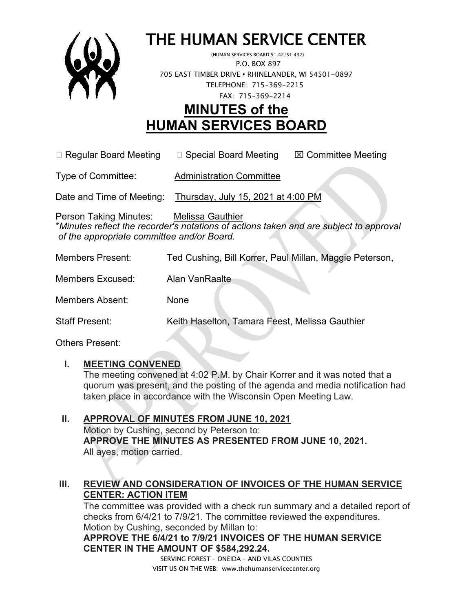

# THE HUMAN SERVICE CENTER (HUMAN SERVICES BOARD 51.42/51.437)

 P.O. BOX 897 705 EAST TIMBER DRIVE **•** RHINELANDER, WI 54501-0897 TELEPHONE: 715-369-2215 FAX: 715-369-2214

# **MINUTES of the HUMAN SERVICES BOARD**

 $\Box$  Regular Board Meeting  $\Box$  Special Board Meeting  $\Box$  Committee Meeting

Type of Committee: Administration Committee

Date and Time of Meeting: Thursday, July 15, 2021 at 4:00 PM

Person Taking Minutes: Melissa Gauthier \**Minutes reflect the recorder's notations of actions taken and are subject to approval of the appropriate committee and/or Board.*

| <b>Members Present:</b> | Ted Cushing, Bill Korrer, Paul Millan, Maggie Peterson, |
|-------------------------|---------------------------------------------------------|
| Members Excused:        | Alan VanRaalte                                          |
| Members Absent:         | None                                                    |

Staff Present: Keith Haselton, Tamara Feest, Melissa Gauthier

Others Present:

#### **I. MEETING CONVENED**

The meeting convened at 4:02 P.M. by Chair Korrer and it was noted that a quorum was present, and the posting of the agenda and media notification had taken place in accordance with the Wisconsin Open Meeting Law.

**II. APPROVAL OF MINUTES FROM JUNE 10, 2021** Motion by Cushing, second by Peterson to: **APPROVE THE MINUTES AS PRESENTED FROM JUNE 10, 2021.**  All ayes, motion carried.

#### **III. REVIEW AND CONSIDERATION OF INVOICES OF THE HUMAN SERVICE CENTER: ACTION ITEM**

The committee was provided with a check run summary and a detailed report of checks from 6/4/21 to 7/9/21. The committee reviewed the expenditures. Motion by Cushing, seconded by Millan to:

**APPROVE THE 6/4/21 to 7/9/21 INVOICES OF THE HUMAN SERVICE CENTER IN THE AMOUNT OF \$584,292.24.**

SERVING FOREST – ONEIDA – AND VILAS COUNTIES VISIT US ON THE WEB: www.thehumanservicecenter.org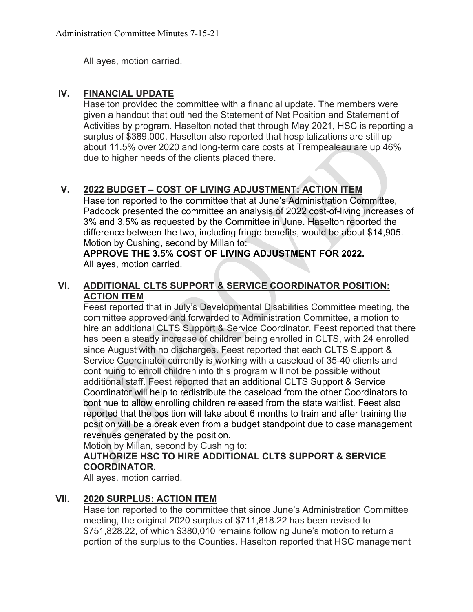All ayes, motion carried.

#### **IV. FINANCIAL UPDATE**

Haselton provided the committee with a financial update. The members were given a handout that outlined the Statement of Net Position and Statement of Activities by program. Haselton noted that through May 2021, HSC is reporting a surplus of \$389,000. Haselton also reported that hospitalizations are still up about 11.5% over 2020 and long-term care costs at Trempealeau are up 46% due to higher needs of the clients placed there.

### **V. 2022 BUDGET – COST OF LIVING ADJUSTMENT: ACTION ITEM**

Haselton reported to the committee that at June's Administration Committee, Paddock presented the committee an analysis of 2022 cost-of-living increases of 3% and 3.5% as requested by the Committee in June. Haselton reported the difference between the two, including fringe benefits, would be about \$14,905. Motion by Cushing, second by Millan to:

**APPROVE THE 3.5% COST OF LIVING ADJUSTMENT FOR 2022.** All ayes, motion carried.

#### **VI. ADDITIONAL CLTS SUPPORT & SERVICE COORDINATOR POSITION: ACTION ITEM**

Feest reported that in July's Developmental Disabilities Committee meeting, the committee approved and forwarded to Administration Committee, a motion to hire an additional CLTS Support & Service Coordinator. Feest reported that there has been a steady increase of children being enrolled in CLTS, with 24 enrolled since August with no discharges. Feest reported that each CLTS Support & Service Coordinator currently is working with a caseload of 35-40 clients and continuing to enroll children into this program will not be possible without additional staff. Feest reported that an additional CLTS Support & Service Coordinator will help to redistribute the caseload from the other Coordinators to continue to allow enrolling children released from the state waitlist. Feest also reported that the position will take about 6 months to train and after training the position will be a break even from a budget standpoint due to case management revenues generated by the position.

Motion by Millan, second by Cushing to:

#### **AUTHORIZE HSC TO HIRE ADDITIONAL CLTS SUPPORT & SERVICE COORDINATOR.**

All ayes, motion carried.

#### **VII. 2020 SURPLUS: ACTION ITEM**

Haselton reported to the committee that since June's Administration Committee meeting, the original 2020 surplus of \$711,818.22 has been revised to \$751,828.22, of which \$380,010 remains following June's motion to return a portion of the surplus to the Counties. Haselton reported that HSC management